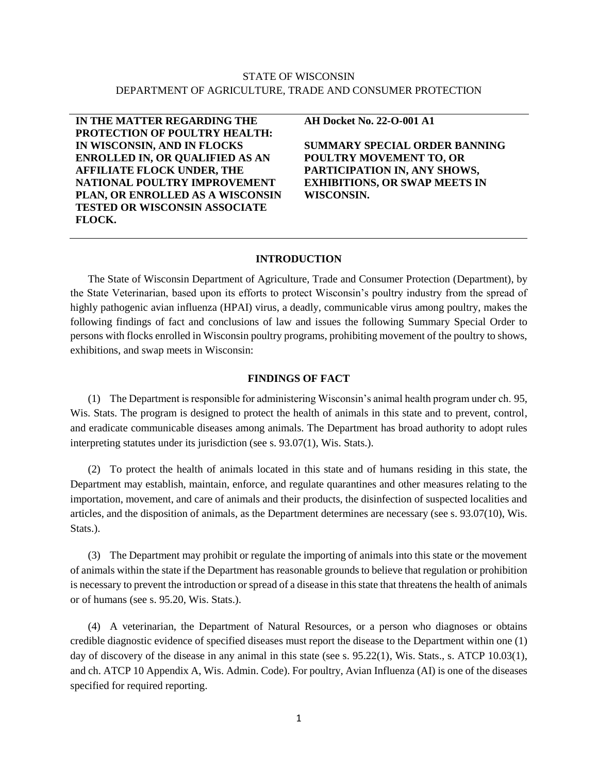# STATE OF WISCONSIN DEPARTMENT OF AGRICULTURE, TRADE AND CONSUMER PROTECTION

**IN THE MATTER REGARDING THE PROTECTION OF POULTRY HEALTH: IN WISCONSIN, AND IN FLOCKS ENROLLED IN, OR QUALIFIED AS AN AFFILIATE FLOCK UNDER, THE NATIONAL POULTRY IMPROVEMENT PLAN, OR ENROLLED AS A WISCONSIN TESTED OR WISCONSIN ASSOCIATE FLOCK.**

**AH Docket No. 22-O-001 A1**

**SUMMARY SPECIAL ORDER BANNING POULTRY MOVEMENT TO, OR PARTICIPATION IN, ANY SHOWS, EXHIBITIONS, OR SWAP MEETS IN WISCONSIN.**

#### **INTRODUCTION**

The State of Wisconsin Department of Agriculture, Trade and Consumer Protection (Department), by the State Veterinarian, based upon its efforts to protect Wisconsin's poultry industry from the spread of highly pathogenic avian influenza (HPAI) virus, a deadly, communicable virus among poultry, makes the following findings of fact and conclusions of law and issues the following Summary Special Order to persons with flocks enrolled in Wisconsin poultry programs, prohibiting movement of the poultry to shows, exhibitions, and swap meets in Wisconsin:

### **FINDINGS OF FACT**

(1) The Department is responsible for administering Wisconsin's animal health program under ch. 95, Wis. Stats. The program is designed to protect the health of animals in this state and to prevent, control, and eradicate communicable diseases among animals. The Department has broad authority to adopt rules interpreting statutes under its jurisdiction (see s. 93.07(1), Wis. Stats.).

(2) To protect the health of animals located in this state and of humans residing in this state, the Department may establish, maintain, enforce, and regulate quarantines and other measures relating to the importation, movement, and care of animals and their products, the disinfection of suspected localities and articles, and the disposition of animals, as the Department determines are necessary (see s. 93.07(10), Wis. Stats.).

(3) The Department may prohibit or regulate the importing of animals into this state or the movement of animals within the state if the Department has reasonable grounds to believe that regulation or prohibition is necessary to prevent the introduction or spread of a disease in this state that threatens the health of animals or of humans (see s. 95.20, Wis. Stats.).

(4) A veterinarian, the Department of Natural Resources, or a person who diagnoses or obtains credible diagnostic evidence of specified diseases must report the disease to the Department within one (1) day of discovery of the disease in any animal in this state (see s. 95.22(1), Wis. Stats., s. ATCP 10.03(1), and ch. ATCP 10 Appendix A, Wis. Admin. Code). For poultry, Avian Influenza (AI) is one of the diseases specified for required reporting.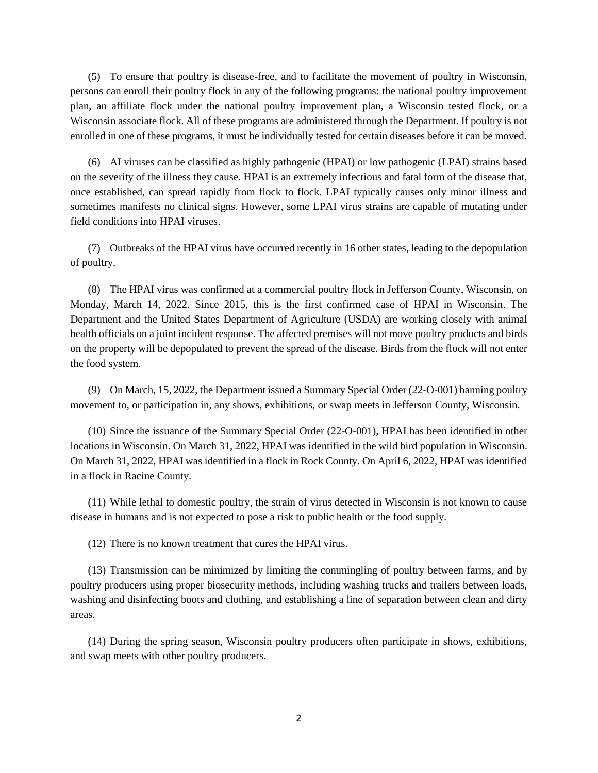(5) To ensure that poultry is disease-free, and to facilitate the movement of poultry in Wisconsin, persons can enroll their poultry flock in any of the following programs: the national poultry improvement plan, an affiliate flock under the national poultry improvement plan, a Wisconsin tested flock, or a Wisconsin associate flock. All of these programs are administered through the Department. If poultry is not enrolled in one of these programs, it must be individually tested for certain diseases before it can be moved.

(6) AI viruses can be classified as highly pathogenic (HPAI) or low pathogenic (LPAI) strains based on the severity of the illness they cause. HPAI is an extremely infectious and fatal form of the disease that, once established, can spread rapidly from flock to flock. LPAI typically causes only minor illness and sometimes manifests no clinical signs. However, some LPAI virus strains are capable of mutating under field conditions into HPAI viruses.

(7) Outbreaks of the HPAI virus have occurred recently in 16 other states, leading to the depopulation of poultry.

(8) The HPAI virus was confirmed at a commercial poultry flock in Jefferson County, Wisconsin, on Monday, March 14, 2022. Since 2015, this is the first confirmed case of HPAI in Wisconsin. The Department and the United States Department of Agriculture (USDA) are working closely with animal health officials on a joint incident response. The affected premises will not move poultry products and birds on the property will be depopulated to prevent the spread of the disease. Birds from the flock will not enter the food system.

(9) On March, 15, 2022, the Department issued a Summary Special Order (22-O-001) banning poultry movement to, or participation in, any shows, exhibitions, or swap meets in Jefferson County, Wisconsin.

(10) Since the issuance of the Summary Special Order (22-O-001), HPAI has been identified in other locations in Wisconsin. On March 31, 2022, HPAI was identified in the wild bird population in Wisconsin. On March 31, 2022, HPAI was identified in a flock in Rock County. On April 6, 2022, HPAI was identified in a flock in Racine County.

(11) While lethal to domestic poultry, the strain of virus detected in Wisconsin is not known to cause disease in humans and is not expected to pose a risk to public health or the food supply.

(12) There is no known treatment that cures the HPAI virus.

(13) Transmission can be minimized by limiting the commingling of poultry between farms, and by poultry producers using proper biosecurity methods, including washing trucks and trailers between loads, washing and disinfecting boots and clothing, and establishing a line of separation between clean and dirty areas.

(14) During the spring season, Wisconsin poultry producers often participate in shows, exhibitions, and swap meets with other poultry producers.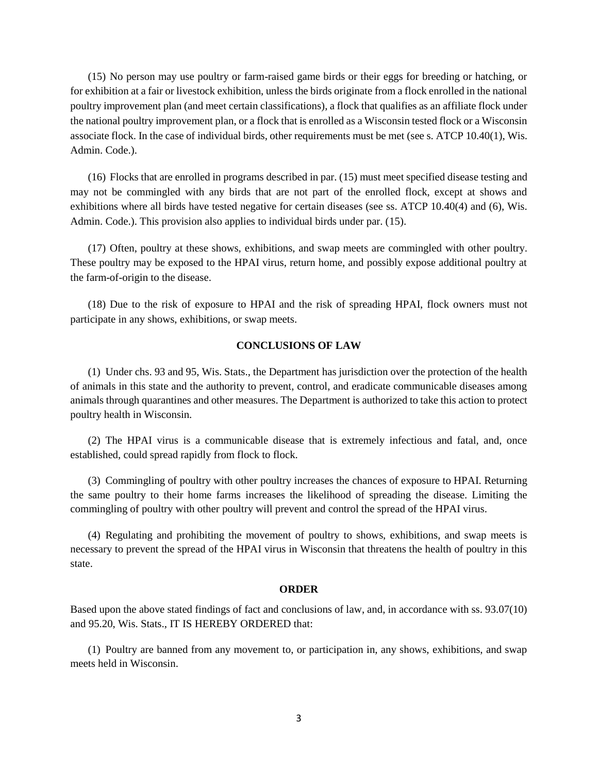(15) No person may use poultry or farm-raised game birds or their eggs for breeding or hatching, or for exhibition at a fair or livestock exhibition, unless the birds originate from a flock enrolled in the national poultry improvement plan (and meet certain classifications), a flock that qualifies as an affiliate flock under the national poultry improvement plan, or a flock that is enrolled as a Wisconsin tested flock or a Wisconsin associate flock. In the case of individual birds, other requirements must be met (see s. ATCP 10.40(1), Wis. Admin. Code.).

(16) Flocks that are enrolled in programs described in par. (15) must meet specified disease testing and may not be commingled with any birds that are not part of the enrolled flock, except at shows and exhibitions where all birds have tested negative for certain diseases (see ss. ATCP 10.40(4) and (6), Wis. Admin. Code.). This provision also applies to individual birds under par. (15).

(17) Often, poultry at these shows, exhibitions, and swap meets are commingled with other poultry. These poultry may be exposed to the HPAI virus, return home, and possibly expose additional poultry at the farm-of-origin to the disease.

(18) Due to the risk of exposure to HPAI and the risk of spreading HPAI, flock owners must not participate in any shows, exhibitions, or swap meets.

## **CONCLUSIONS OF LAW**

(1) Under chs. 93 and 95, Wis. Stats., the Department has jurisdiction over the protection of the health of animals in this state and the authority to prevent, control, and eradicate communicable diseases among animals through quarantines and other measures. The Department is authorized to take this action to protect poultry health in Wisconsin.

(2) The HPAI virus is a communicable disease that is extremely infectious and fatal, and, once established, could spread rapidly from flock to flock.

(3) Commingling of poultry with other poultry increases the chances of exposure to HPAI. Returning the same poultry to their home farms increases the likelihood of spreading the disease. Limiting the commingling of poultry with other poultry will prevent and control the spread of the HPAI virus.

(4) Regulating and prohibiting the movement of poultry to shows, exhibitions, and swap meets is necessary to prevent the spread of the HPAI virus in Wisconsin that threatens the health of poultry in this state.

#### **ORDER**

Based upon the above stated findings of fact and conclusions of law, and, in accordance with ss. 93.07(10) and 95.20, Wis. Stats., IT IS HEREBY ORDERED that:

(1) Poultry are banned from any movement to, or participation in, any shows, exhibitions, and swap meets held in Wisconsin.